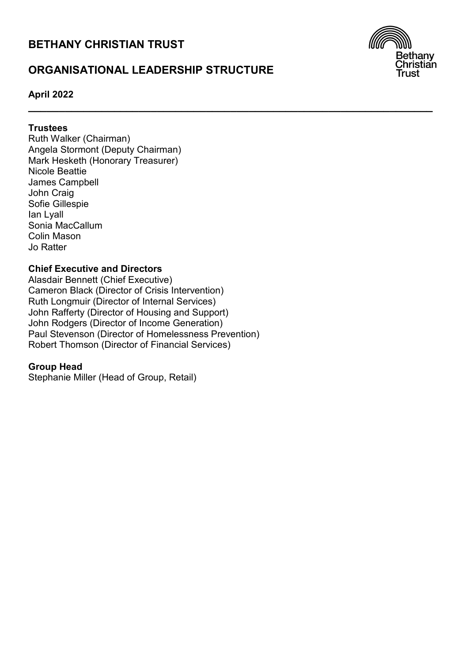# **BETHANY CHRISTIAN TRUST**

# **ORGANISATIONAL LEADERSHIP STRUCTURE**

**\_\_\_\_\_\_\_\_\_\_\_\_\_\_\_\_\_\_\_\_\_\_\_\_\_\_\_\_\_\_\_\_\_\_\_\_\_\_\_\_\_\_\_\_\_\_\_\_\_\_\_\_\_\_\_\_\_\_\_\_\_\_\_\_\_\_**



# **April 2022**

# **Trustees**

Ruth Walker (Chairman) Angela Stormont (Deputy Chairman) Mark Hesketh (Honorary Treasurer) Nicole Beattie James Campbell John Craig Sofie Gillespie Ian Lyall Sonia MacCallum Colin Mason Jo Ratter

# **Chief Executive and Directors**

Alasdair Bennett (Chief Executive) Cameron Black (Director of Crisis Intervention) Ruth Longmuir (Director of Internal Services) John Rafferty (Director of Housing and Support) John Rodgers (Director of Income Generation) Paul Stevenson (Director of Homelessness Prevention) Robert Thomson (Director of Financial Services)

# **Group Head**

Stephanie Miller (Head of Group, Retail)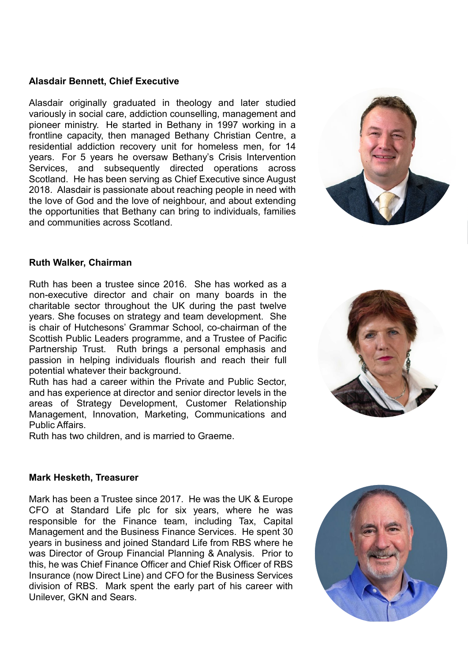# **Alasdair Bennett, Chief Executive**

Alasdair originally graduated in theology and later studied variously in social care, addiction counselling, management and pioneer ministry. He started in Bethany in 1997 working in a frontline capacity, then managed Bethany Christian Centre, a residential addiction recovery unit for homeless men, for 14 years. For 5 years he oversaw Bethany's Crisis Intervention Services, and subsequently directed operations across Scotland. He has been serving as Chief Executive since August 2018. Alasdair is passionate about reaching people in need with the love of God and the love of neighbour, and about extending the opportunities that Bethany can bring to individuals, families and communities across Scotland.



### **Ruth Walker, Chairman**

Ruth has been a trustee since 2016. She has worked as a non-executive director and chair on many boards in the charitable sector throughout the UK during the past twelve years. She focuses on strategy and team development. She is chair of Hutchesons' Grammar School, co-chairman of the Scottish Public Leaders programme, and a Trustee of Pacific Partnership Trust. Ruth brings a personal emphasis and passion in helping individuals flourish and reach their full potential whatever their background.

Ruth has had a career within the Private and Public Sector, and has experience at director and senior director levels in the areas of Strategy Development, Customer Relationship Management, Innovation, Marketing, Communications and Public Affairs.

Ruth has two children, and is married to Graeme.



#### **Mark Hesketh, Treasurer**

Mark has been a Trustee since 2017. He was the UK & Europe CFO at Standard Life plc for six years, where he was responsible for the Finance team, including Tax, Capital Management and the Business Finance Services. He spent 30 years in business and joined Standard Life from RBS where he was Director of Group Financial Planning & Analysis. Prior to this, he was Chief Finance Officer and Chief Risk Officer of RBS Insurance (now Direct Line) and CFO for the Business Services division of RBS. Mark spent the early part of his career with Unilever, GKN and Sears.

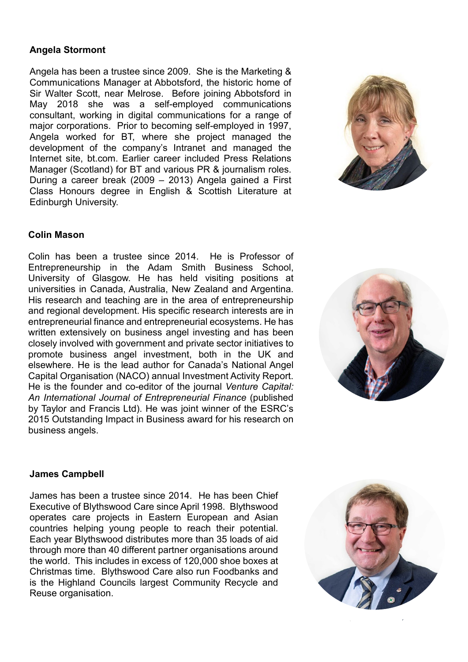# **Angela Stormont**

Angela has been a trustee since 2009. She is the Marketing & Communications Manager at Abbotsford, the historic home of Sir Walter Scott, near Melrose. Before joining Abbotsford in May 2018 she was a self-employed communications consultant, working in digital communications for a range of major corporations. Prior to becoming self-employed in 1997, Angela worked for BT, where she project managed the development of the company's Intranet and managed the Internet site, bt.com. Earlier career included Press Relations Manager (Scotland) for BT and various PR & journalism roles. During a career break (2009 – 2013) Angela gained a First Class Honours degree in English & Scottish Literature at Edinburgh University.



# **Colin Mason**

Colin has been a trustee since 2014. He is Professor of Entrepreneurship in the Adam Smith Business School, University of Glasgow. He has held visiting positions at universities in Canada, Australia, New Zealand and Argentina. His research and teaching are in the area of entrepreneurship and regional development. His specific research interests are in entrepreneurial finance and entrepreneurial ecosystems. He has written extensively on business angel investing and has been closely involved with government and private sector initiatives to promote business angel investment, both in the UK and elsewhere. He is the lead author for Canada's National Angel Capital Organisation (NACO) annual Investment Activity Report. He is the founder and co-editor of the journal *Venture Capital: An International Journal of Entrepreneurial Finance* (published by Taylor and Francis Ltd). He was joint winner of the ESRC's 2015 Outstanding Impact in Business award for his research on business angels.



#### **James Campbell**

James has been a trustee since 2014. He has been Chief Executive of Blythswood Care since April 1998. Blythswood operates care projects in Eastern European and Asian countries helping young people to reach their potential. Each year Blythswood distributes more than 35 loads of aid through more than 40 different partner organisations around the world. This includes in excess of 120,000 shoe boxes at Christmas time. Blythswood Care also run Foodbanks and is the Highland Councils largest Community Recycle and Reuse organisation.

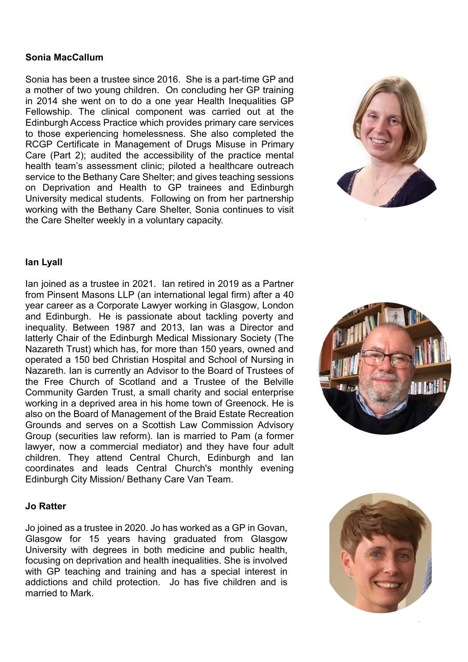### **Sonia MacCallum**

Sonia has been a trustee since 2016. She is a part-time GP and a mother of two young children. On concluding her GP training in 2014 she went on to do a one year Health Inequalities GP Fellowship. The clinical component was carried out at the Edinburgh Access Practice which provides primary care services to those experiencing homelessness. She also completed the RCGP Certificate in Management of Drugs Misuse in Primary Care (Part 2); audited the accessibility of the practice mental health team's assessment clinic; piloted a healthcare outreach service to the Bethany Care Shelter; and gives teaching sessions on Deprivation and Health to GP trainees and Edinburgh University medical students. Following on from her partnership working with the Bethany Care Shelter, Sonia continues to visit the Care Shelter weekly in a voluntary capacity.



### **Ian Lyall**

Ian joined as a trustee in 2021. Ian retired in 2019 as a Partner from Pinsent Masons LLP (an international legal firm) after a 40 year career as a Corporate Lawyer working in Glasgow, London and Edinburgh. He is passionate about tackling poverty and inequality. Between 1987 and 2013, Ian was a Director and latterly Chair of the Edinburgh Medical Missionary Society (The Nazareth Trust) which has, for more than 150 years, owned and operated a 150 bed Christian Hospital and School of Nursing in Nazareth. Ian is currently an Advisor to the Board of Trustees of the Free Church of Scotland and a Trustee of the Belville Community Garden Trust, a small charity and social enterprise working in a deprived area in his home town of Greenock. He is also on the Board of Management of the Braid Estate Recreation Grounds and serves on a Scottish Law Commission Advisory Group (securities law reform). Ian is married to Pam (a former lawyer, now a commercial mediator) and they have four adult children. They attend Central Church, Edinburgh and Ian coordinates and leads Central Church's monthly evening Edinburgh City Mission/ Bethany Care Van Team.

#### **Jo Ratter**

Jo joined as a trustee in 2020. Jo has worked as a GP in Govan, Glasgow for 15 years having graduated from Glasgow University with degrees in both medicine and public health, focusing on deprivation and health inequalities. She is involved with GP teaching and training and has a special interest in addictions and child protection. Jo has five children and is married to Mark.